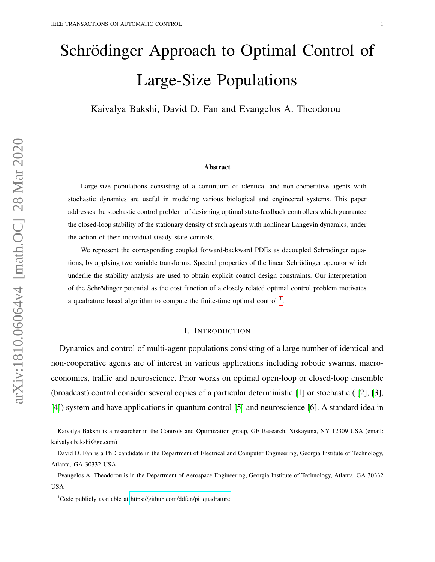# Schrödinger Approach to Optimal Control of Large-Size Populations

Kaivalya Bakshi, David D. Fan and Evangelos A. Theodorou

#### Abstract

Large-size populations consisting of a continuum of identical and non-cooperative agents with stochastic dynamics are useful in modeling various biological and engineered systems. This paper addresses the stochastic control problem of designing optimal state-feedback controllers which guarantee the closed-loop stability of the stationary density of such agents with nonlinear Langevin dynamics, under the action of their individual steady state controls.

We represent the corresponding coupled forward-backward PDEs as decoupled Schrödinger equations, by applying two variable transforms. Spectral properties of the linear Schrödinger operator which underlie the stability analysis are used to obtain explicit control design constraints. Our interpretation of the Schrodinger potential as the cost function of a closely related optimal control problem motivates ¨ a quadrature based algorithm to compute the finite-time optimal control  $<sup>1</sup>$  $<sup>1</sup>$  $<sup>1</sup>$ .</sup>

### I. INTRODUCTION

Dynamics and control of multi-agent populations consisting of a large number of identical and non-cooperative agents are of interest in various applications including robotic swarms, macroeconomics, traffic and neuroscience. Prior works on optimal open-loop or closed-loop ensemble (broadcast) control consider several copies of a particular deterministic [\[1\]](#page-18-0) or stochastic ( [\[2\]](#page-18-1), [\[3\]](#page-18-2), [\[4\]](#page-18-3)) system and have applications in quantum control [\[5\]](#page-18-4) and neuroscience [\[6\]](#page-18-5). A standard idea in

Evangelos A. Theodorou is in the Department of Aerospace Engineering, Georgia Institute of Technology, Atlanta, GA 30332 USA

<span id="page-0-0"></span> $1$ Code publicly available at [https://github.com/ddfan/pi](https://github.com/ddfan/pi_quadrature) quadrature

Kaivalya Bakshi is a researcher in the Controls and Optimization group, GE Research, Niskayuna, NY 12309 USA (email: kaivalya.bakshi@ge.com)

David D. Fan is a PhD candidate in the Department of Electrical and Computer Engineering, Georgia Institute of Technology, Atlanta, GA 30332 USA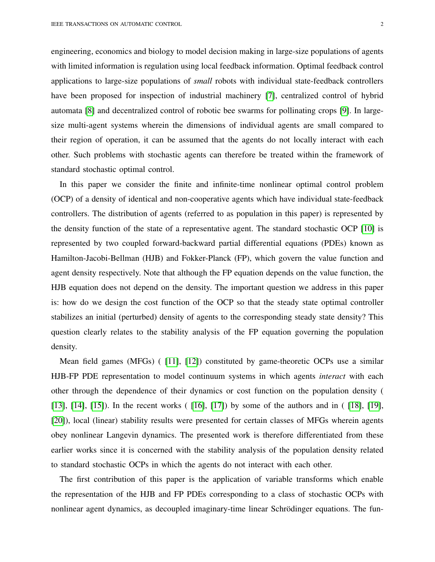engineering, economics and biology to model decision making in large-size populations of agents with limited information is regulation using local feedback information. Optimal feedback control applications to large-size populations of *small* robots with individual state-feedback controllers have been proposed for inspection of industrial machinery [\[7\]](#page-18-6), centralized control of hybrid automata [\[8\]](#page-18-7) and decentralized control of robotic bee swarms for pollinating crops [\[9\]](#page-18-8). In largesize multi-agent systems wherein the dimensions of individual agents are small compared to their region of operation, it can be assumed that the agents do not locally interact with each other. Such problems with stochastic agents can therefore be treated within the framework of standard stochastic optimal control.

In this paper we consider the finite and infinite-time nonlinear optimal control problem (OCP) of a density of identical and non-cooperative agents which have individual state-feedback controllers. The distribution of agents (referred to as population in this paper) is represented by the density function of the state of a representative agent. The standard stochastic OCP [\[10\]](#page-18-9) is represented by two coupled forward-backward partial differential equations (PDEs) known as Hamilton-Jacobi-Bellman (HJB) and Fokker-Planck (FP), which govern the value function and agent density respectively. Note that although the FP equation depends on the value function, the HJB equation does not depend on the density. The important question we address in this paper is: how do we design the cost function of the OCP so that the steady state optimal controller stabilizes an initial (perturbed) density of agents to the corresponding steady state density? This question clearly relates to the stability analysis of the FP equation governing the population density.

Mean field games (MFGs) ( [\[11\]](#page-18-10), [\[12\]](#page-18-11)) constituted by game-theoretic OCPs use a similar HJB-FP PDE representation to model continuum systems in which agents *interact* with each other through the dependence of their dynamics or cost function on the population density ( [\[13\]](#page-18-12), [\[14\]](#page-18-13), [\[15\]](#page-18-14)). In the recent works ( [\[16\]](#page-19-0), [\[17\]](#page-19-1)) by some of the authors and in ( [\[18\]](#page-19-2), [\[19\]](#page-19-3), [\[20\]](#page-19-4)), local (linear) stability results were presented for certain classes of MFGs wherein agents obey nonlinear Langevin dynamics. The presented work is therefore differentiated from these earlier works since it is concerned with the stability analysis of the population density related to standard stochastic OCPs in which the agents do not interact with each other.

The first contribution of this paper is the application of variable transforms which enable the representation of the HJB and FP PDEs corresponding to a class of stochastic OCPs with nonlinear agent dynamics, as decoupled imaginary-time linear Schrödinger equations. The fun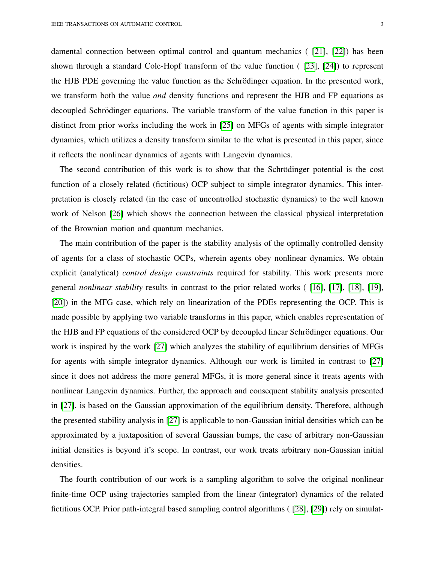damental connection between optimal control and quantum mechanics ( [\[21\]](#page-19-5), [\[22\]](#page-19-6)) has been shown through a standard Cole-Hopf transform of the value function ( [\[23\]](#page-19-7), [\[24\]](#page-19-8)) to represent the HJB PDE governing the value function as the Schrödinger equation. In the presented work, we transform both the value *and* density functions and represent the HJB and FP equations as decoupled Schrödinger equations. The variable transform of the value function in this paper is distinct from prior works including the work in [\[25\]](#page-19-9) on MFGs of agents with simple integrator dynamics, which utilizes a density transform similar to the what is presented in this paper, since it reflects the nonlinear dynamics of agents with Langevin dynamics.

The second contribution of this work is to show that the Schrödinger potential is the cost function of a closely related (fictitious) OCP subject to simple integrator dynamics. This interpretation is closely related (in the case of uncontrolled stochastic dynamics) to the well known work of Nelson [\[26\]](#page-19-10) which shows the connection between the classical physical interpretation of the Brownian motion and quantum mechanics.

The main contribution of the paper is the stability analysis of the optimally controlled density of agents for a class of stochastic OCPs, wherein agents obey nonlinear dynamics. We obtain explicit (analytical) *control design constraints* required for stability. This work presents more general *nonlinear stability* results in contrast to the prior related works ( [\[16\]](#page-19-0), [\[17\]](#page-19-1), [\[18\]](#page-19-2), [\[19\]](#page-19-3), [\[20\]](#page-19-4)) in the MFG case, which rely on linearization of the PDEs representing the OCP. This is made possible by applying two variable transforms in this paper, which enables representation of the HJB and FP equations of the considered OCP by decoupled linear Schrodinger equations. Our ¨ work is inspired by the work [\[27\]](#page-19-11) which analyzes the stability of equilibrium densities of MFGs for agents with simple integrator dynamics. Although our work is limited in contrast to [\[27\]](#page-19-11) since it does not address the more general MFGs, it is more general since it treats agents with nonlinear Langevin dynamics. Further, the approach and consequent stability analysis presented in [\[27\]](#page-19-11), is based on the Gaussian approximation of the equilibrium density. Therefore, although the presented stability analysis in [\[27\]](#page-19-11) is applicable to non-Gaussian initial densities which can be approximated by a juxtaposition of several Gaussian bumps, the case of arbitrary non-Gaussian initial densities is beyond it's scope. In contrast, our work treats arbitrary non-Gaussian initial densities.

The fourth contribution of our work is a sampling algorithm to solve the original nonlinear finite-time OCP using trajectories sampled from the linear (integrator) dynamics of the related fictitious OCP. Prior path-integral based sampling control algorithms ( [\[28\]](#page-19-12), [\[29\]](#page-19-13)) rely on simulat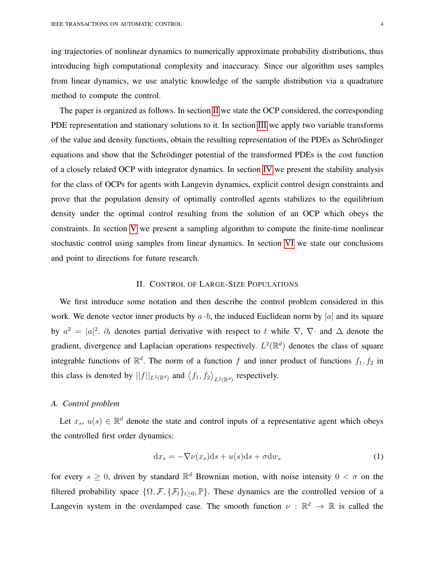ing trajectories of nonlinear dynamics to numerically approximate probability distributions, thus introducing high computational complexity and inaccuracy. Since our algorithm uses samples from linear dynamics, we use analytic knowledge of the sample distribution via a quadrature method to compute the control.

The paper is organized as follows. In section [II](#page-3-0) we state the OCP considered, the corresponding PDE representation and stationary solutions to it. In section [III](#page-5-0) we apply two variable transforms of the value and density functions, obtain the resulting representation of the PDEs as Schrödinger equations and show that the Schrödinger potential of the transformed PDEs is the cost function of a closely related OCP with integrator dynamics. In section [IV](#page-9-0) we present the stability analysis for the class of OCPs for agents with Langevin dynamics, explicit control design constraints and prove that the population density of optimally controlled agents stabilizes to the equilibrium density under the optimal control resulting from the solution of an OCP which obeys the constraints. In section [V](#page-12-0) we present a sampling algorithm to compute the finite-time nonlinear stochastic control using samples from linear dynamics. In section [VI](#page-16-0) we state our conclusions and point to directions for future research.

## II. CONTROL OF LARGE-SIZE POPULATIONS

<span id="page-3-0"></span>We first introduce some notation and then describe the control problem considered in this work. We denote vector inner products by  $a \cdot b$ , the induced Euclidean norm by |a| and its square by  $a^2 = |a|^2$ .  $\partial_t$  denotes partial derivative with respect to t while  $\nabla$ ,  $\nabla$  and  $\Delta$  denote the gradient, divergence and Laplacian operations respectively.  $L^2(\mathbb{R}^d)$  denotes the class of square integrable functions of  $\mathbb{R}^d$ . The norm of a function f and inner product of functions  $f_1, f_2$  in this class is denoted by  $||f||_{L^2(\mathbb{R}^d)}$  and  $\langle f_1, f_2 \rangle_{L^2(\mathbb{R}^d)}$  respectively.

# *A. Control problem*

Let  $x_s$ ,  $u(s) \in \mathbb{R}^d$  denote the state and control inputs of a representative agent which obeys the controlled first order dynamics:

<span id="page-3-1"></span>
$$
dx_s = -\nabla \nu(x_s)ds + u(s)ds + \sigma dw_s \tag{1}
$$

for every  $s \geq 0$ , driven by standard  $\mathbb{R}^d$  Brownian motion, with noise intensity  $0 < \sigma$  on the filtered probability space  $\{\Omega, \mathcal{F}, \{\mathcal{F}_t\}_{t>0}, \mathbb{P}\}.$  These dynamics are the controlled version of a Langevin system in the overdamped case. The smooth function  $\nu : \mathbb{R}^d \to \mathbb{R}$  is called the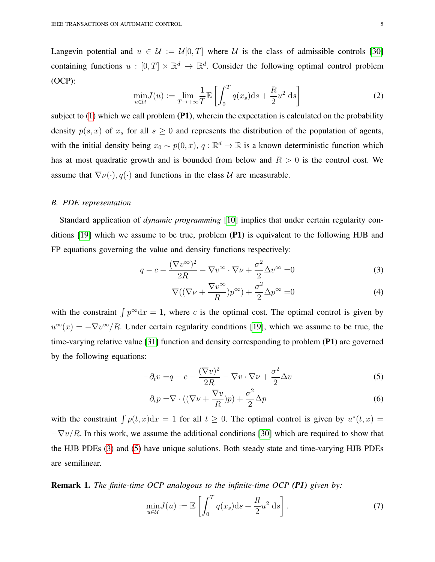Langevin potential and  $u \in \mathcal{U} := \mathcal{U}[0,T]$  where  $\mathcal{U}$  is the class of admissible controls [\[30\]](#page-19-14) containing functions  $u : [0, T] \times \mathbb{R}^d \to \mathbb{R}^d$ . Consider the following optimal control problem (OCP):

$$
\min_{u \in \mathcal{U}} J(u) := \lim_{T \to +\infty} \frac{1}{T} \mathbb{E} \left[ \int_0^T q(x_s) \mathrm{d}s + \frac{R}{2} u^2 \mathrm{d}s \right] \tag{2}
$$

subject to  $(1)$  which we call problem  $(P1)$ , wherein the expectation is calculated on the probability density  $p(s, x)$  of  $x_s$  for all  $s \ge 0$  and represents the distribution of the population of agents, with the initial density being  $x_0 \sim p(0, x)$ ,  $q : \mathbb{R}^d \to \mathbb{R}$  is a known deterministic function which has at most quadratic growth and is bounded from below and  $R > 0$  is the control cost. We assume that  $\nabla \nu(\cdot), q(\cdot)$  and functions in the class U are measurable.

# *B. PDE representation*

Standard application of *dynamic programming* [\[10\]](#page-18-9) implies that under certain regularity conditions [\[19\]](#page-19-3) which we assume to be true, problem (P1) is equivalent to the following HJB and FP equations governing the value and density functions respectively:

$$
q - c - \frac{(\nabla v^{\infty})^2}{2R} - \nabla v^{\infty} \cdot \nabla \nu + \frac{\sigma^2}{2} \Delta v^{\infty} = 0
$$
 (3)

<span id="page-4-3"></span><span id="page-4-1"></span><span id="page-4-0"></span>
$$
\nabla((\nabla\nu + \frac{\nabla v^{\infty}}{R})p^{\infty}) + \frac{\sigma^2}{2}\Delta p^{\infty} = 0
$$
\n(4)

with the constraint  $\int p^{\infty} dx = 1$ , where c is the optimal cost. The optimal control is given by  $u^{\infty}(x) = -\nabla v^{\infty}/R$ . Under certain regularity conditions [\[19\]](#page-19-3), which we assume to be true, the time-varying relative value [\[31\]](#page-19-15) function and density corresponding to problem (P1) are governed by the following equations:

$$
-\partial_t v = q - c - \frac{(\nabla v)^2}{2R} - \nabla v \cdot \nabla \nu + \frac{\sigma^2}{2} \Delta v \tag{5}
$$

<span id="page-4-2"></span>
$$
\partial_t p = \nabla \cdot ((\nabla \nu + \frac{\nabla v}{R})p) + \frac{\sigma^2}{2} \Delta p \tag{6}
$$

with the constraint  $\int p(t, x) dx = 1$  for all  $t \ge 0$ . The optimal control is given by  $u^*(t, x) =$  $-\nabla v/R$ . In this work, we assume the additional conditions [\[30\]](#page-19-14) which are required to show that the HJB PDEs [\(3\)](#page-4-0) and [\(5\)](#page-4-1) have unique solutions. Both steady state and time-varying HJB PDEs are semilinear.

<span id="page-4-5"></span>Remark 1. *The finite-time OCP analogous to the infinite-time OCP (P1) given by:*

<span id="page-4-4"></span>
$$
\min_{u \in \mathcal{U}} J(u) := \mathbb{E} \left[ \int_0^T q(x_s) \mathrm{d}s + \frac{R}{2} u^2 \mathrm{d}s \right]. \tag{7}
$$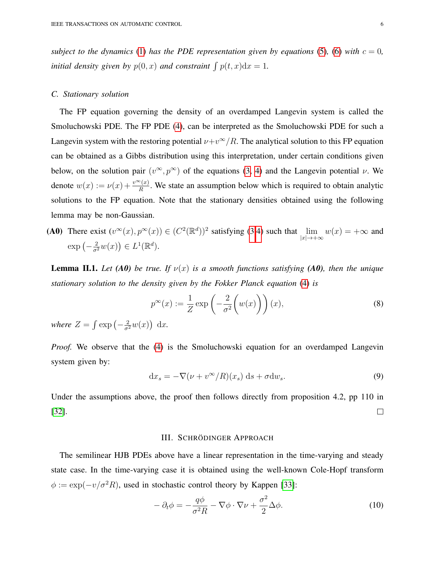*subject to the dynamics* [\(1\)](#page-3-1) *has the PDE representation given by equations* [\(5\)](#page-4-1), [\(6\)](#page-4-2) *with*  $c = 0$ *, initial density given by*  $p(0, x)$  *and constraint*  $\int p(t, x) dx = 1$ *.* 

# *C. Stationary solution*

The FP equation governing the density of an overdamped Langevin system is called the Smoluchowski PDE. The FP PDE [\(4\)](#page-4-3), can be interpreted as the Smoluchowski PDE for such a Langevin system with the restoring potential  $\nu+v^{\infty}/R$ . The analytical solution to this FP equation can be obtained as a Gibbs distribution using this interpretation, under certain conditions given below, on the solution pair  $(v^{\infty}, p^{\infty})$  of the equations [\(3,](#page-4-0) [4\)](#page-4-3) and the Langevin potential  $\nu$ . We denote  $w(x) := v(x) + \frac{v^{\infty}(x)}{R}$ . We state an assumption below which is required to obtain analytic solutions to the FP equation. Note that the stationary densities obtained using the following lemma may be non-Gaussian.

(A0) There exist  $(v^{\infty}(x), p^{\infty}(x)) \in (C^2(\mathbb{R}^d))^2$  satisfying [\(3,](#page-4-0)[4\)](#page-4-3) such that  $\lim_{|x| \to +\infty} w(x) = +\infty$  and  $\exp\left(-\frac{2}{\sigma^2}w(x)\right) \in L^1(\mathbb{R}^d).$ 

<span id="page-5-1"></span>**Lemma II.1.** Let (A0) be true. If  $v(x)$  is a smooth functions satisfying (A0), then the unique *stationary solution to the density given by the Fokker Planck equation* [\(4\)](#page-4-3) *is*

$$
p^{\infty}(x) := \frac{1}{Z} \exp\left(-\frac{2}{\sigma^2} \left(w(x)\right)\right)(x),\tag{8}
$$

*where*  $Z = \int \exp\left(-\frac{2}{\sigma^2}w(x)\right) dx$ .

*Proof.* We observe that the [\(4\)](#page-4-3) is the Smoluchowski equation for an overdamped Langevin system given by:

<span id="page-5-2"></span>
$$
dx_s = -\nabla(\nu + v^{\infty}/R)(x_s) ds + \sigma dw_s.
$$
\n(9)

Under the assumptions above, the proof then follows directly from proposition 4.2, pp 110 in [\[32\]](#page-19-16).  $\Box$ 

#### III. SCHRÖDINGER APPROACH

<span id="page-5-0"></span>The semilinear HJB PDEs above have a linear representation in the time-varying and steady state case. In the time-varying case it is obtained using the well-known Cole-Hopf transform  $\phi := \exp(-v/\sigma^2 R)$ , used in stochastic control theory by Kappen [\[33\]](#page-19-17):

$$
-\partial_t \phi = -\frac{q\phi}{\sigma^2 R} - \nabla \phi \cdot \nabla \nu + \frac{\sigma^2}{2} \Delta \phi.
$$
 (10)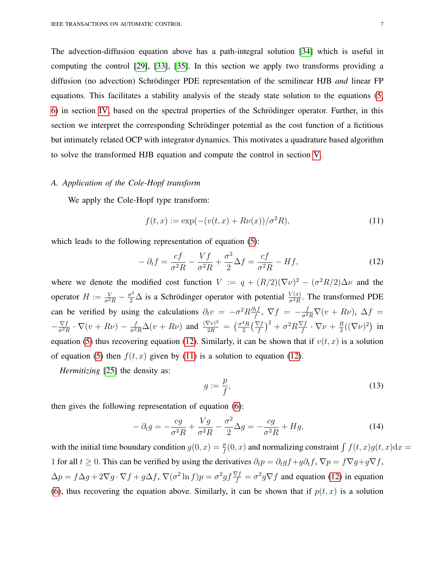The advection-diffusion equation above has a path-integral solution [\[34\]](#page-19-18) which is useful in computing the control [\[29\]](#page-19-13), [\[33\]](#page-19-17), [\[35\]](#page-19-19). In this section we apply two transforms providing a diffusion (no advection) Schrödinger PDE representation of the semilinear HJB *and* linear FP equations. This facilitates a stability analysis of the steady state solution to the equations [\(5,](#page-4-1) [6\)](#page-4-2) in section [IV,](#page-9-0) based on the spectral properties of the Schrodinger operator. Further, in this ¨ section we interpret the corresponding Schrödinger potential as the cost function of a fictitious but intimately related OCP with integrator dynamics. This motivates a quadrature based algorithm to solve the transformed HJB equation and compute the control in section [V.](#page-12-0)

# *A. Application of the Cole-Hopf transform*

We apply the Cole-Hopf type transform:

<span id="page-6-1"></span>
$$
f(t, x) := \exp(-(v(t, x) + R\nu(x))/\sigma^2 R),
$$
\n(11)

which leads to the following representation of equation [\(5\)](#page-4-1):

<span id="page-6-0"></span>
$$
-\partial_t f = \frac{cf}{\sigma^2 R} - \frac{Vf}{\sigma^2 R} + \frac{\sigma^2}{2} \Delta f = \frac{cf}{\sigma^2 R} - Hf,\tag{12}
$$

where we denote the modified cost function  $V := q + (R/2)(\nabla \nu)^2 - (\sigma^2 R/2) \Delta \nu$  and the operator  $H := \frac{V}{\sigma^2 R} - \frac{\sigma^2}{2} \Delta$  is a Schrödinger operator with potential  $\frac{V(x)}{\sigma^2 R}$  $\frac{V(x)}{\sigma^2 R}$ . The transformed PDE can be verified by using the calculations  $\partial_t v = -\sigma^2 R \frac{\partial_t f}{f}$  $\frac{\partial^2 t}{\partial f}$ ,  $\nabla f = -\frac{f}{\sigma^2 R} \nabla (v + R\nu)$ ,  $\Delta f =$  $-\frac{\nabla f}{\sigma^2 I}$  $\frac{\nabla f}{\sigma^2 R} \cdot \nabla (v + R\nu) - \frac{f}{\sigma^2 R} \Delta (v + R\nu)$  and  $\frac{(\nabla v)^2}{2R} = \left(\frac{\sigma^4 R}{2}\right)$  $\frac{4R}{2} \left( \frac{\nabla f}{f} \right)^2 + \sigma^2 R \frac{\nabla f}{f}$  $\frac{\nabla f}{f} \cdot \nabla \nu + \frac{R}{2}$  $\frac{R}{2}((\nabla\nu)^2)$  in equation [\(5\)](#page-4-1) thus recovering equation [\(12\)](#page-6-0). Similarly, it can be shown that if  $v(t, x)$  is a solution of equation [\(5\)](#page-4-1) then  $f(t, x)$  given by [\(11\)](#page-6-1) is a solution to equation [\(12\)](#page-6-0).

*Hermitizing* [\[25\]](#page-19-9) the density as:

<span id="page-6-3"></span>
$$
g := \frac{p}{f},\tag{13}
$$

then gives the following representation of equation [\(6\)](#page-4-2):

<span id="page-6-2"></span>
$$
-\partial_t g = -\frac{cg}{\sigma^2 R} + \frac{Vg}{\sigma^2 R} - \frac{\sigma^2}{2} \Delta g = -\frac{cg}{\sigma^2 R} + Hg,\tag{14}
$$

with the initial time boundary condition  $g(0, x) = \frac{p}{f}(0, x)$  and normalizing constraint  $\int f(t, x)g(t, x)dx =$ 1 for all  $t \geq 0$ . This can be verified by using the derivatives  $\partial_t p = \partial_t g f + g \partial_t f$ ,  $\nabla p = f \nabla g + g \nabla f$ ,  $\Delta p = f \Delta g + 2 \nabla g \cdot \nabla f + g \Delta f$ ,  $\nabla (\sigma^2 \ln f) p = \sigma^2 g f \frac{\nabla f}{f} = \sigma^2 g \nabla f$  and equation [\(12\)](#page-6-0) in equation [\(6\)](#page-4-2), thus recovering the equation above. Similarly, it can be shown that if  $p(t, x)$  is a solution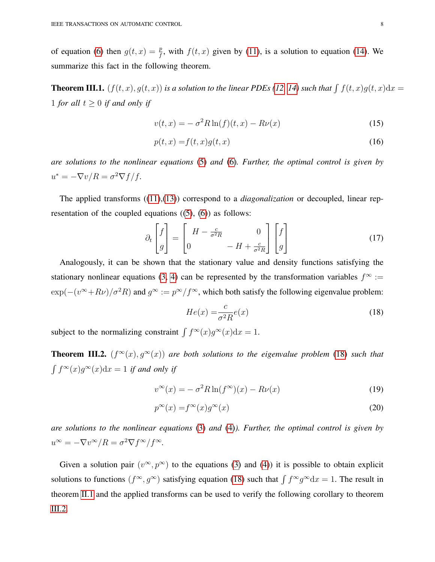of equation [\(6\)](#page-4-2) then  $g(t, x) = \frac{p}{f}$ , with  $f(t, x)$  given by [\(11\)](#page-6-1), is a solution to equation [\(14\)](#page-6-2). We summarize this fact in the following theorem.

<span id="page-7-7"></span>**Theorem III.1.**  $(f(t, x), g(t, x))$  *is a solution to the linear PDEs* [\(12,](#page-6-0) [14\)](#page-6-2) *such that*  $\int f(t, x)g(t, x)dx =$ 1 *for all*  $t \geq 0$  *if and only if* 

<span id="page-7-6"></span><span id="page-7-5"></span>
$$
v(t,x) = -\sigma^2 R \ln(f)(t,x) - R\nu(x)
$$
\n(15)

$$
p(t,x) = f(t,x)g(t,x) \tag{16}
$$

*are solutions to the nonlinear equations* [\(5\)](#page-4-1) *and* [\(6\)](#page-4-2)*. Further, the optimal control is given by*  $u^* = -\nabla v/R = \sigma^2 \nabla f/f.$ 

The applied transforms ([\(11\)](#page-6-1),[\(13\)](#page-6-3)) correspond to a *diagonalization* or decoupled, linear representation of the coupled equations  $((5), (6))$  $((5), (6))$  $((5), (6))$  $((5), (6))$  $((5), (6))$  as follows:

<span id="page-7-2"></span>
$$
\partial_t \begin{bmatrix} f \\ g \end{bmatrix} = \begin{bmatrix} H - \frac{c}{\sigma^2 R} & 0 \\ 0 & -H + \frac{c}{\sigma^2 R} \end{bmatrix} \begin{bmatrix} f \\ g \end{bmatrix}
$$
 (17)

Analogously, it can be shown that the stationary value and density functions satisfying the stationary nonlinear equations [\(3,](#page-4-0) [4\)](#page-4-3) can be represented by the transformation variables  $f^{\infty}$  :=  $\exp(-(v^{\infty}+R\nu)/\sigma^2R)$  and  $g^{\infty} := p^{\infty}/f^{\infty}$ , which both satisfy the following eigenvalue problem:

<span id="page-7-4"></span><span id="page-7-3"></span><span id="page-7-0"></span>
$$
He(x) = \frac{c}{\sigma^2 R} e(x)
$$
\n(18)

subject to the normalizing constraint  $\int f^{\infty}(x)g^{\infty}(x)dx = 1$ .

<span id="page-7-1"></span>**Theorem III.2.**  $(f^{\infty}(x), g^{\infty}(x))$  are both solutions to the eigenvalue problem [\(18\)](#page-7-0) such that  $\int f^{\infty}(x)g^{\infty}(x)dx = 1$  *if and only if* 

$$
v^{\infty}(x) = -\sigma^2 R \ln(f^{\infty})(x) - R\nu(x)
$$
\n(19)

$$
p^{\infty}(x) = f^{\infty}(x)g^{\infty}(x)
$$
\n(20)

*are solutions to the nonlinear equations* [\(3\)](#page-4-0) *and* [\(4\)](#page-4-3)*). Further, the optimal control is given by*  $u^{\infty} = -\nabla v^{\infty}/R = \sigma^2 \nabla f^{\infty}/f^{\infty}.$ 

Given a solution pair  $(v^{\infty}, p^{\infty})$  to the equations [\(3\)](#page-4-0) and [\(4\)](#page-4-3)) it is possible to obtain explicit solutions to functions  $(f^{\infty}, g^{\infty})$  satisfying equation [\(18\)](#page-7-0) such that  $\int f^{\infty} g^{\infty} dx = 1$ . The result in theorem [II.1](#page-5-1) and the applied transforms can be used to verify the following corollary to theorem [III.2.](#page-7-1)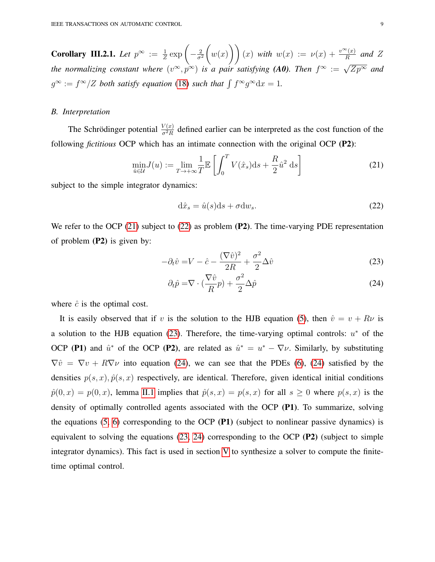<span id="page-8-4"></span>**Corollary III.2.1.** Let  $p^{\infty} := \frac{1}{Z} \exp \left(-\frac{2}{\sigma^2}\right)$  $\overline{\sigma^2}$  $\sqrt{ }$  $w(x)$   $(x)$   $(x)$  with  $w(x) := \nu(x) + \frac{v^{\infty}(x)}{R}$  and Z *the normalizing constant where*  $(v^{\infty}, p^{\infty})$  *is a pair satisfying (A0). Then*  $f^{\infty} := \sqrt{Zp^{\infty}}$  *and*  $g^{\infty} := f^{\infty}/Z$  both satisfy equation [\(18\)](#page-7-0) such that  $\int f^{\infty} g^{\infty} dx = 1$ .

#### *B. Interpretation*

The Schrödinger potential  $\frac{V(x)}{\sigma^2 B}$  $\frac{\partial V(x)}{\partial^2 R}$  defined earlier can be interpreted as the cost function of the following *fictitious* OCP which has an intimate connection with the original OCP (P2):

<span id="page-8-0"></span>
$$
\min_{\hat{u}\in\mathcal{U}} J(u) := \lim_{T\to+\infty} \frac{1}{T} \mathbb{E}\left[\int_0^T V(\hat{x}_s) \mathrm{d}s + \frac{R}{2} \hat{u}^2 \mathrm{d}s\right]
$$
(21)

subject to the simple integrator dynamics:

<span id="page-8-3"></span><span id="page-8-2"></span><span id="page-8-1"></span>
$$
\mathrm{d}\hat{x}_s = \hat{u}(s)\mathrm{d}s + \sigma \mathrm{d}w_s. \tag{22}
$$

We refer to the OCP [\(21\)](#page-8-0) subject to [\(22\)](#page-8-1) as problem (P2). The time-varying PDE representation of problem  $(P2)$  is given by:

$$
-\partial_t \hat{v} = V - \hat{c} - \frac{(\nabla \hat{v})^2}{2R} + \frac{\sigma^2}{2} \Delta \hat{v}
$$
\n(23)

$$
\partial_t \hat{p} = \nabla \cdot (\frac{\nabla \hat{v}}{R} p) + \frac{\sigma^2}{2} \Delta \hat{p}
$$
\n(24)

where  $\hat{c}$  is the optimal cost.

It is easily observed that if v is the solution to the HJB equation [\(5\)](#page-4-1), then  $\hat{v} = v + R\nu$  is a solution to the HJB equation [\(23\)](#page-8-2). Therefore, the time-varying optimal controls:  $u^*$  of the OCP (P1) and  $\hat{u}^*$  of the OCP (P2), are related as  $\hat{u}^* = u^* - \nabla \nu$ . Similarly, by substituting  $\nabla \hat{v} = \nabla v + R \nabla \nu$  into equation [\(24\)](#page-8-3), we can see that the PDEs [\(6\)](#page-4-2), (24) satisfied by the densities  $p(s, x)$ ,  $\hat{p}(s, x)$  respectively, are identical. Therefore, given identical initial conditions  $\hat{p}(0, x) = p(0, x)$ , lemma [II.1](#page-5-1) implies that  $\hat{p}(s, x) = p(s, x)$  for all  $s \ge 0$  where  $p(s, x)$  is the density of optimally controlled agents associated with the OCP (P1). To summarize, solving the equations  $(5, 6)$  $(5, 6)$  corresponding to the OCP (P1) (subject to nonlinear passive dynamics) is equivalent to solving the equations [\(23,](#page-8-2) [24\)](#page-8-3) corresponding to the OCP (P2) (subject to simple integrator dynamics). This fact is used in section [V](#page-12-0) to synthesize a solver to compute the finitetime optimal control.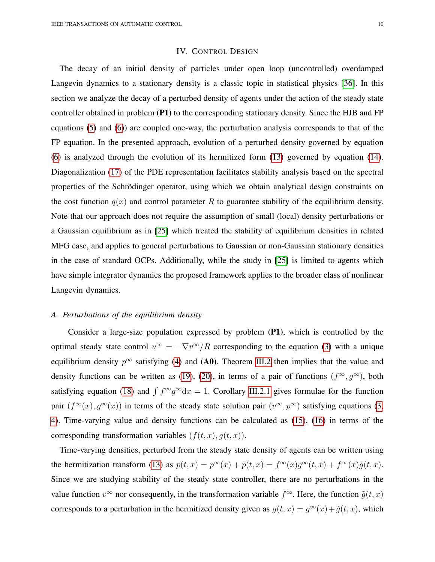# IV. CONTROL DESIGN

<span id="page-9-0"></span>The decay of an initial density of particles under open loop (uncontrolled) overdamped Langevin dynamics to a stationary density is a classic topic in statistical physics [\[36\]](#page-19-20). In this section we analyze the decay of a perturbed density of agents under the action of the steady state controller obtained in problem (P1) to the corresponding stationary density. Since the HJB and FP equations [\(5\)](#page-4-1) and [\(6\)](#page-4-2)) are coupled one-way, the perturbation analysis corresponds to that of the FP equation. In the presented approach, evolution of a perturbed density governed by equation [\(6\)](#page-4-2) is analyzed through the evolution of its hermitized form [\(13\)](#page-6-3) governed by equation [\(14\)](#page-6-2). Diagonalization [\(17\)](#page-7-2) of the PDE representation facilitates stability analysis based on the spectral properties of the Schrödinger operator, using which we obtain analytical design constraints on the cost function  $q(x)$  and control parameter R to guarantee stability of the equilibrium density. Note that our approach does not require the assumption of small (local) density perturbations or a Gaussian equilibrium as in [\[25\]](#page-19-9) which treated the stability of equilibrium densities in related MFG case, and applies to general perturbations to Gaussian or non-Gaussian stationary densities in the case of standard OCPs. Additionally, while the study in [\[25\]](#page-19-9) is limited to agents which have simple integrator dynamics the proposed framework applies to the broader class of nonlinear Langevin dynamics.

## *A. Perturbations of the equilibrium density*

Consider a large-size population expressed by problem (P1), which is controlled by the optimal steady state control  $u^{\infty} = -\nabla v^{\infty}/R$  corresponding to the equation [\(3\)](#page-4-0) with a unique equilibrium density  $p^{\infty}$  satisfying [\(4\)](#page-4-3) and (A0). Theorem [III.2](#page-7-1) then implies that the value and density functions can be written as [\(19\)](#page-7-3), [\(20\)](#page-7-4), in terms of a pair of functions  $(f^{\infty}, g^{\infty})$ , both satisfying equation [\(18\)](#page-7-0) and  $\int f^{\infty}g^{\infty}dx = 1$ . Corollary [III.2.1](#page-8-4) gives formulae for the function pair  $(f^{\infty}(x), g^{\infty}(x))$  in terms of the steady state solution pair  $(v^{\infty}, p^{\infty})$  satisfying equations [\(3,](#page-4-0) [4\)](#page-4-3). Time-varying value and density functions can be calculated as [\(15\)](#page-7-5), [\(16\)](#page-7-6) in terms of the corresponding transformation variables  $(f(t, x), g(t, x))$ .

Time-varying densities, perturbed from the steady state density of agents can be written using the hermitization transform [\(13\)](#page-6-3) as  $p(t, x) = p^{\infty}(x) + \tilde{p}(t, x) = f^{\infty}(x)g^{\infty}(t, x) + f^{\infty}(x)\tilde{g}(t, x)$ . Since we are studying stability of the steady state controller, there are no perturbations in the value function  $v^{\infty}$  nor consequently, in the transformation variable  $f^{\infty}$ . Here, the function  $\tilde{g}(t, x)$ corresponds to a perturbation in the hermitized density given as  $g(t, x) = g^{\infty}(x) + \tilde{g}(t, x)$ , which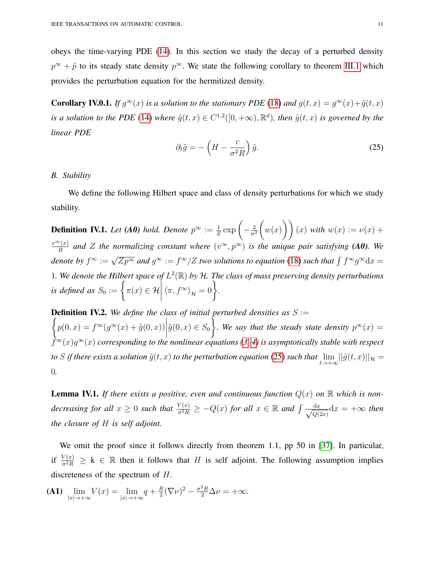obeys the time-varying PDE [\(14\)](#page-6-2). In this section we study the decay of a perturbed density  $p^{\infty} + \tilde{p}$  to its steady state density  $p^{\infty}$ . We state the following corollary to theorem [III.1](#page-7-7) which provides the perturbation equation for the hermitized density.

**Corollary IV.0.1.** If  $g^{\infty}(x)$  is a solution to the stationary PDE [\(18\)](#page-7-0) and  $g(t,x) = g^{\infty}(x) + \tilde{g}(t,x)$ *is a solution to the PDE* [\(14\)](#page-6-2) *where*  $\tilde{g}(t, x) \in C^{1,2}([0, +\infty), \mathbb{R}^d)$ *, then*  $\tilde{g}(t, x)$  *is governed by the linear PDE*

<span id="page-10-0"></span>
$$
\partial_t \tilde{g} = -\left(H - \frac{c}{\sigma^2 R}\right) \tilde{g}.
$$
\n(25)

## *B. Stability*

We define the following Hilbert space and class of density perturbations for which we study stability.

**Definition IV.1.** Let (A0) hold. Denote  $p^{\infty} := \frac{1}{Z} \exp\left(-\frac{2}{\sigma^2}\right)$  $\overline{\sigma^2}$  $\sqrt{ }$  $w(x)$   $(x)$   $(x)$  with  $w(x) := \nu(x) + \nu(x)$  $v^{\infty}(x)$  $\frac{f(x)}{R}$  and *Z* the normalizing constant where  $(v^{\infty}, p^{\infty})$  is the unique pair satisfying (**A0**). We denote by  $f^{\infty} := \sqrt{Zp^{\infty}}$  and  $g^{\infty} := f^{\infty}/Z$  two solutions to equation [\(18\)](#page-7-0) such that  $\int f^{\infty}g^{\infty}dx$ 1. We denote the Hilbert space of  $L^2(\mathbb{R})$  by H. The class of mass preserving density perturbations *is defined as*  $S_0 := \Big\{ \pi(x) \in \mathcal{H}$  $\begin{array}{c} \begin{array}{c} \begin{array}{c} \begin{array}{c} \end{array}\\ \begin{array}{c} \end{array}\\ \begin{array}{c} \end{array}\\ \begin{array}{c} \end{array}\\ \begin{array}{c} \end{array}\\ \begin{array}{c} \end{array}\\ \begin{array}{c} \end{array}\\ \begin{array}{c} \end{array}\\ \begin{array}{c} \end{array}\\ \begin{array}{c} \end{array}\\ \begin{array}{c} \end{array}\\ \begin{array}{c} \end{array}\\ \begin{array}{c} \end{array}\\ \begin{array}{c} \end{array}\\ \begin{array}{c} \end{array}\\ \begin{array}{c} \end{array}\\ \begin{array}{c}$  $\langle \pi, f^{\infty} \rangle_{\mathcal{H}} = 0$ .

 $\int$ **Definition IV.2.** We define the class of initial perturbed densities as  $S :=$  $p(0, x) = f^{\infty}(g^{\infty}(x) + \tilde{g}(0, x))$  $\tilde{g}(0, x) \in S_0$  $\mathcal{L}$ *a*. We say that the steady state density  $p^{\infty}(x) =$ f <sup>∞</sup>(x)g <sup>∞</sup>(x) *corresponding to the nonlinear equations [\(3,](#page-4-0) [4\)](#page-4-3) is asymptotically stable with respect* to  $S$  if there exists a solution  $\tilde{g}(t,x)$  to the perturbation equation [\(25\)](#page-10-0) such that  $\lim_{t\to+\infty}||\tilde{g}(t,x)||_{\mathcal{H}}=0$ 0*.*

<span id="page-10-1"></span>**Lemma IV.1.** If there exists a positive, even and continuous function  $Q(x)$  on  $\mathbb{R}$  which is non*decreasing for all*  $x \geq 0$  *such that*  $\frac{V(x)}{\sigma^2 R} \geq -Q(x)$  *for all*  $x \in \mathbb{R}$  *and*  $\int \frac{dx}{\sqrt{Q(x)}}$  $\frac{dx}{Q(2x)}dx = +\infty$  then *the closure of* H *is self adjoint.*

We omit the proof since it follows directly from theorem 1.1, pp 50 in [\[37\]](#page-19-21). In particular, if  $\frac{V(x)}{\sigma^2 R} \ge k \in \mathbb{R}$  then it follows that H is self adjoint. The following assumption implies discreteness of the spectrum of H.

**(A1)** 
$$
\lim_{|x| \to +\infty} V(x) = \lim_{|x| \to +\infty} q + \frac{R}{2} (\nabla \nu)^2 - \frac{\sigma^2 R}{2} \Delta \nu = +\infty.
$$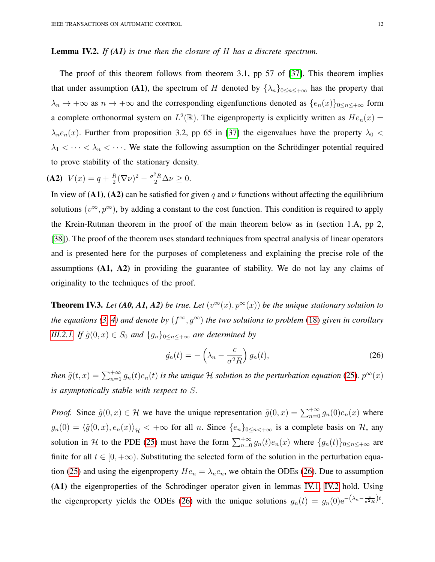## <span id="page-11-1"></span>Lemma IV.2. *If (A1) is true then the closure of* H *has a discrete spectrum.*

The proof of this theorem follows from theorem 3.1, pp 57 of [\[37\]](#page-19-21). This theorem implies that under assumption (A1), the spectrum of H denoted by  $\{\lambda_n\}_{0 \leq n \leq +\infty}$  has the property that  $\lambda_n \to +\infty$  as  $n \to +\infty$  and the corresponding eigenfunctions denoted as  $\{e_n(x)\}_{0 \le n \le +\infty}$  form a complete orthonormal system on  $L^2(\mathbb{R})$ . The eigenproperty is explicitly written as  $He_n(x)$  =  $\lambda_n e_n(x)$ . Further from proposition 3.2, pp 65 in [\[37\]](#page-19-21) the eigenvalues have the property  $\lambda_0$  <  $\lambda_1 < \cdots < \lambda_n < \cdots$ . We state the following assumption on the Schrödinger potential required to prove stability of the stationary density.

(A2)  $V(x) = q + \frac{R}{2}$  $\frac{R}{2}(\nabla \nu)^2 - \frac{\sigma^2 R}{2} \Delta \nu \geq 0.$ 

In view of (A1), (A2) can be satisfied for given q and  $\nu$  functions without affecting the equilibrium solutions  $(v^{\infty}, p^{\infty})$ , by adding a constant to the cost function. This condition is required to apply the Krein-Rutman theorem in the proof of the main theorem below as in (section 1.A, pp 2, [\[38\]](#page-19-22)). The proof of the theorem uses standard techniques from spectral analysis of linear operators and is presented here for the purposes of completeness and explaining the precise role of the assumptions  $(A1, A2)$  in providing the guarantee of stability. We do not lay any claims of originality to the techniques of the proof.

**Theorem IV.3.** Let (A0, A1, A2) be true. Let  $(v^{\infty}(x), p^{\infty}(x))$  be the unique stationary solution to *the equations* [\(3,](#page-4-0) [4\)](#page-4-3) and denote by  $(f^{\infty}, g^{\infty})$  the two solutions to problem [\(18\)](#page-7-0) given in corollary *[III.2.1.](#page-8-4) If*  $\tilde{g}(0, x) \in S_0$  *and*  $\{g_n\}_{0 \le n \le +\infty}$  *are determined by* 

<span id="page-11-0"></span>
$$
\dot{g_n}(t) = -\left(\lambda_n - \frac{c}{\sigma^2 R}\right) g_n(t),\tag{26}
$$

then  $\tilde{g}(t,x) = \sum_{n=1}^{+\infty} g_n(t)e_n(t)$  is the unique H solution to the perturbation equation [\(25\)](#page-10-0).  $p^{\infty}(x)$ *is asymptotically stable with respect to* S*.*

*Proof.* Since  $\tilde{g}(0, x) \in \mathcal{H}$  we have the unique representation  $\tilde{g}(0, x) = \sum_{n=0}^{+\infty} g_n(0) e_n(x)$  where  $g_n(0) = \langle \tilde{g}(0, x), e_n(x) \rangle_{\mathcal{H}} < +\infty$  for all n. Since  $\{e_n\}_{0 \le n < +\infty}$  is a complete basis on H, any solution in H to the PDE [\(25\)](#page-10-0) must have the form  $\sum_{n=0}^{+\infty} g_n(t)e_n(x)$  where  $\{g_n(t)\}_{0\leq n\leq +\infty}$  are finite for all  $t \in [0, +\infty)$ . Substituting the selected form of the solution in the perturbation equa-tion [\(25\)](#page-10-0) and using the eigenproperty  $He_n = \lambda_n e_n$ , we obtain the ODEs [\(26\)](#page-11-0). Due to assumption (A1) the eigenproperties of the Schrödinger operator given in lemmas [IV.1,](#page-10-1) [IV.2](#page-11-1) hold. Using the eigenproperty yields the ODEs [\(26\)](#page-11-0) with the unique solutions  $g_n(t) = g_n(0)e^{-(\lambda_n - \frac{c}{\sigma^2 R})t}$ .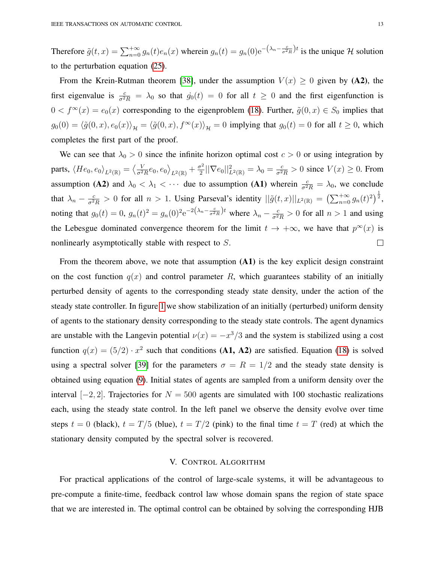Therefore  $\tilde{g}(t,x) = \sum_{n=0}^{+\infty} g_n(t)e_n(x)$  wherein  $g_n(t) = g_n(0)e^{-(\lambda_n - \frac{c}{\sigma^2 R})t}$  is the unique H solution to the perturbation equation [\(25\)](#page-10-0).

From the Krein-Rutman theorem [\[38\]](#page-19-22), under the assumption  $V(x) \ge 0$  given by (A2), the first eigenvalue is  $\frac{c}{\sigma^2 R} = \lambda_0$  so that  $\dot{g}_0(t) = 0$  for all  $t \ge 0$  and the first eigenfunction is  $0 < f^{\infty}(x) = e_0(x)$  corresponding to the eigenproblem [\(18\)](#page-7-0). Further,  $\tilde{g}(0, x) \in S_0$  implies that  $g_0(0) = \langle \tilde{g}(0, x), e_0(x)\rangle_{\mathcal{H}} = \langle \tilde{g}(0, x), f^\infty(x)\rangle_{\mathcal{H}} = 0$  implying that  $g_0(t) = 0$  for all  $t \ge 0$ , which completes the first part of the proof.

We can see that  $\lambda_0 > 0$  since the infinite horizon optimal cost  $c > 0$  or using integration by  $\frac{V}{\sigma^2 R}e_0, e_0 \rangle_{L^2(\mathbb{R})} + \frac{\sigma^2}{2}$ parts,  $\langle He_0,e_0\rangle_{L^2(\mathbb{R})}=\big\langle \frac{V}{\sigma^2}\big\rangle$  $\frac{\sigma^2}{2} || \nabla e_0 ||^2_{L^2(\mathbb{R})} = \lambda_0 = \frac{c}{\sigma^2 R} > 0$  since  $V(x) \ge 0$ . From assumption (A2) and  $\lambda_0 < \lambda_1 < \cdots$  due to assumption (A1) wherein  $\frac{c}{\sigma^2 R} = \lambda_0$ , we conclude that  $\lambda_n - \frac{c}{\sigma^2 R} > 0$  for all  $n > 1$ . Using Parseval's identity  $||\tilde{g}(t,x)||_{L^2(\mathbb{R})} = \left(\sum_{n=0}^{+\infty} g_n(t)^2\right)^{\frac{1}{2}}$ , noting that  $g_0(t) = 0$ ,  $g_n(t)^2 = g_n(0)^2 e^{-2(\lambda_n - \frac{c}{\sigma^2 R})t}$  where  $\lambda_n - \frac{c}{\sigma^2 R} > 0$  for all  $n > 1$  and using the Lebesgue dominated convergence theorem for the limit  $t \to +\infty$ , we have that  $p^{\infty}(x)$  is  $\Box$ nonlinearly asymptotically stable with respect to S.

From the theorem above, we note that assumption (A1) is the key explicit design constraint on the cost function  $q(x)$  and control parameter R, which guarantees stability of an initially perturbed density of agents to the corresponding steady state density, under the action of the steady state controller. In figure [1](#page-13-0) we show stabilization of an initially (perturbed) uniform density of agents to the stationary density corresponding to the steady state controls. The agent dynamics are unstable with the Langevin potential  $\nu(x) = -x^3/3$  and the system is stabilized using a cost function  $q(x) = (5/2) \cdot x^2$  such that conditions (A1, A2) are satisfied. Equation [\(18\)](#page-7-0) is solved using a spectral solver [\[39\]](#page-19-23) for the parameters  $\sigma = R = 1/2$  and the steady state density is obtained using equation [\(9\)](#page-5-2). Initial states of agents are sampled from a uniform density over the interval  $[-2, 2]$ . Trajectories for  $N = 500$  agents are simulated with 100 stochastic realizations each, using the steady state control. In the left panel we observe the density evolve over time steps  $t = 0$  (black),  $t = T/5$  (blue),  $t = T/2$  (pink) to the final time  $t = T$  (red) at which the stationary density computed by the spectral solver is recovered.

# V. CONTROL ALGORITHM

<span id="page-12-0"></span>For practical applications of the control of large-scale systems, it will be advantageous to pre-compute a finite-time, feedback control law whose domain spans the region of state space that we are interested in. The optimal control can be obtained by solving the corresponding HJB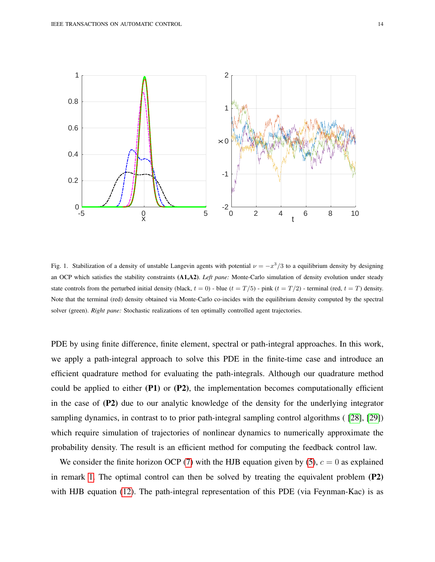<span id="page-13-0"></span>

Fig. 1. Stabilization of a density of unstable Langevin agents with potential  $\nu = -x^3/3$  to a equilibrium density by designing an OCP which satisfies the stability constraints (A1,A2). *Left pane:* Monte-Carlo simulation of density evolution under steady state controls from the perturbed initial density (black,  $t = 0$ ) - blue  $(t = T/5)$  - pink  $(t = T/2)$  - terminal (red,  $t = T$ ) density. Note that the terminal (red) density obtained via Monte-Carlo co-incides with the equilibrium density computed by the spectral solver (green). *Right pane:* Stochastic realizations of ten optimally controlled agent trajectories.

PDE by using finite difference, finite element, spectral or path-integral approaches. In this work, we apply a path-integral approach to solve this PDE in the finite-time case and introduce an efficient quadrature method for evaluating the path-integrals. Although our quadrature method could be applied to either  $(P1)$  or  $(P2)$ , the implementation becomes computationally efficient in the case of (P2) due to our analytic knowledge of the density for the underlying integrator sampling dynamics, in contrast to to prior path-integral sampling control algorithms ( [\[28\]](#page-19-12), [\[29\]](#page-19-13)) which require simulation of trajectories of nonlinear dynamics to numerically approximate the probability density. The result is an efficient method for computing the feedback control law.

We consider the finite horizon OCP [\(7\)](#page-4-4) with the HJB equation given by [\(5\)](#page-4-1),  $c = 0$  as explained in remark [1.](#page-4-5) The optimal control can then be solved by treating the equivalent problem (P2) with HJB equation [\(12\)](#page-6-0). The path-integral representation of this PDE (via Feynman-Kac) is as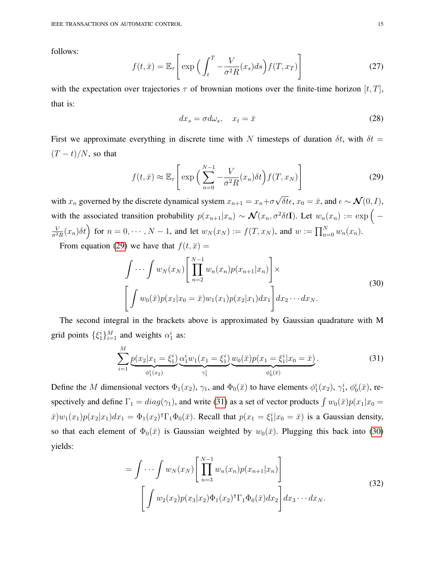follows:

$$
f(t,\bar{x}) = \mathbb{E}_{\tau} \left[ \exp \left( \int_t^T -\frac{V}{\sigma^2 R}(x_s) ds \right) f(T, x_T) \right]
$$
 (27)

with the expectation over trajectories  $\tau$  of brownian motions over the finite-time horizon  $[t, T]$ , that is:

<span id="page-14-2"></span>
$$
dx_s = \sigma d\omega_s, \quad x_t = \bar{x} \tag{28}
$$

First we approximate everything in discrete time with N timesteps of duration  $\delta t$ , with  $\delta t =$  $(T - t)/N$ , so that

<span id="page-14-0"></span>
$$
f(t,\bar{x}) \approx \mathbb{E}_{\tau} \left[ \exp \left( \sum_{n=0}^{N-1} -\frac{V}{\sigma^2 R}(x_n) \delta t \right) f(T, x_N) \right]
$$
(29)

with  $x_n$  governed by the discrete dynamical system  $x_{n+1} = x_n + \sigma$ δt $\epsilon$ ,  $x_0 = \bar{x}$ , and  $\epsilon \sim \mathcal{N}(0, I)$ , with the associated transition probability  $p(x_{n+1}|x_n) \sim \mathcal{N}(x_n, \sigma^2 \delta t)$ . Let  $w_n(x_n) := \exp \Big(-\frac{1}{n} \int_0^{\infty} \frac{1}{n^2} e^{-\frac{1}{n} \int_0^{\infty} \frac{1}{n^2}}$ V  $\frac{V}{\sigma^2 R}(x_n)\delta t$  for  $n=0,\cdots,N-1$ , and let  $w_N(x_N) := f(T,x_N)$ , and  $w := \prod_{n=0}^N w_n(x_n)$ .

From equation [\(29\)](#page-14-0) we have that  $f(t, \bar{x}) =$ 

$$
\int \cdots \int w_N(x_N) \left[ \prod_{n=2}^{N-1} w_n(x_n) p(x_{n+1}|x_n) \right] \times \left[ \int w_0(\bar{x}) p(x_1|x_0 = \bar{x}) w_1(x_1) p(x_2|x_1) dx_1 \right] dx_2 \cdots dx_N.
$$
\n(30)

The second integral in the brackets above is approximated by Gaussian quadrature with M grid points  $\{\xi_1^i\}_{i=1}^M$  and weights  $\alpha_1^i$  as:

<span id="page-14-1"></span>
$$
\sum_{i=1}^{M} \underbrace{p(x_2|x_1=\xi_1^i)}_{\phi_1^i(x_2)} \underbrace{\alpha_1^i w_1(x_1=\xi_1^i)}_{\gamma_1^i} \underbrace{w_0(\bar{x}) p(x_1=\xi_1^i|x_0=\bar{x})}_{\phi_0^i(\bar{x})}.
$$
\n(31)

Define the M dimensional vectors  $\Phi_1(x_2)$ ,  $\gamma_1$ , and  $\Phi_0(\bar{x})$  to have elements  $\phi_1^i(x_2)$ ,  $\gamma_1^i$ ,  $\phi_0^i(\bar{x})$ , respectively and define  $\Gamma_1 = diag(\gamma_1)$ , and write [\(31\)](#page-14-1) as a set of vector products  $\int w_0(\bar{x})p(x_1|x_0)$  $\bar{x}$ ) $w_1(x_1)p(x_2|x_1)dx_1 = \Phi_1(x_2)^{\dagger}\Gamma_1\Phi_0(\bar{x})$ . Recall that  $p(x_1 = \xi_1^i|x_0 = \bar{x})$  is a Gaussian density, so that each element of  $\Phi_0(\bar{x})$  is Gaussian weighted by  $w_0(\bar{x})$ . Plugging this back into [\(30\)](#page-14-2) yields:

<span id="page-14-3"></span>
$$
= \int \cdots \int w_N(x_N) \left[ \prod_{n=3}^{N-1} w_n(x_n) p(x_{n+1}|x_n) \right]
$$
  

$$
\left[ \int w_2(x_2) p(x_3|x_2) \Phi_1(x_2) \Gamma_1 \Phi_0(\bar{x}) dx_2 \right] dx_3 \cdots dx_N.
$$
 (32)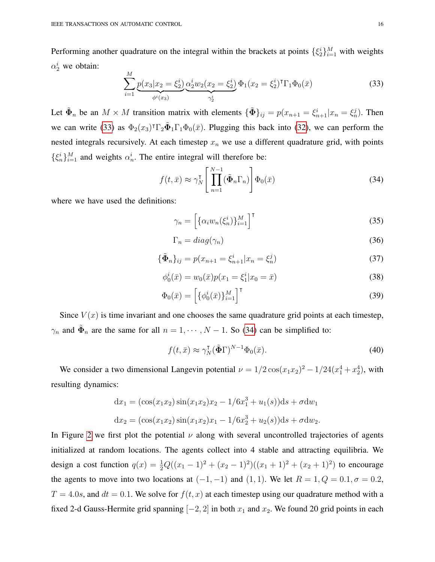Performing another quadrature on the integral within the brackets at points  $\{\xi_i^i\}_{i=1}^M$  with weights  $\alpha_2^i$  we obtain:  $\overline{M}$ 

<span id="page-15-0"></span>
$$
\sum_{i=1}^{M} \underbrace{p(x_3|x_2=\xi_2^i)}_{\phi^i(x_3)} \underbrace{\alpha_2^i w_2(x_2=\xi_2^i)}_{\gamma_2^i} \Phi_1(x_2=\xi_2^i)^{\mathsf{T}} \Gamma_1 \Phi_0(\bar{x}) \tag{33}
$$

Let  $\tilde{\Phi}_n$  be an  $M \times M$  transition matrix with elements  $\{\tilde{\Phi}\}_{ij} = p(x_{n+1} = \xi_{n+1}^i | x_n = \xi_n^j)$ . Then we can write [\(33\)](#page-15-0) as  $\Phi_2(x_3)^{\dagger} \Gamma_2 \tilde{\Phi}_1 \Gamma_1 \Phi_0(\bar{x})$ . Plugging this back into [\(32\)](#page-14-3), we can perform the nested integrals recursively. At each timestep  $x_n$  we use a different quadrature grid, with points  $\{\xi_n^i\}_{i=1}^M$  and weights  $\alpha_n^i$ . The entire integral will therefore be:

<span id="page-15-1"></span>
$$
f(t,\bar{x}) \approx \gamma_N^{\text{T}} \left[ \prod_{n=1}^{N-1} (\tilde{\Phi}_n \Gamma_n) \right] \Phi_0(\bar{x}) \tag{34}
$$

where we have used the definitions:

$$
\gamma_n = \left[ \{ \alpha_i w_n(\xi_n^i) \}_{i=1}^M \right]^\mathsf{T} \tag{35}
$$

$$
\Gamma_n = diag(\gamma_n) \tag{36}
$$

$$
\{\tilde{\Phi}_n\}_{ij} = p(x_{n+1} = \xi_{n+1}^i | x_n = \xi_n^j)
$$
\n(37)

$$
\phi_0^i(\bar{x}) = w_0(\bar{x})p(x_1 = \xi_1^i | x_0 = \bar{x})
$$
\n(38)

$$
\Phi_0(\bar{x}) = \left[ \{ \phi_0^i(\bar{x}) \}_{i=1}^M \right]^\mathsf{T} \tag{39}
$$

Since  $V(x)$  is time invariant and one chooses the same quadrature grid points at each timestep,  $\gamma_n$  and  $\tilde{\Phi}_n$  are the same for all  $n = 1, \dots, N - 1$ . So [\(34\)](#page-15-1) can be simplified to:

$$
f(t,\bar{x}) \approx \gamma_N^{\mathsf{T}}(\tilde{\Phi}\Gamma)^{N-1}\Phi_0(\bar{x}).\tag{40}
$$

We consider a two dimensional Langevin potential  $\nu = 1/2 \cos(x_1 x_2)^2 - 1/24(x_1^4 + x_2^4)$ , with resulting dynamics:

$$
dx_1 = (\cos(x_1x_2)\sin(x_1x_2)x_2 - 1/6x_1^3 + u_1(s))ds + \sigma dw_1
$$
  

$$
dx_2 = (\cos(x_1x_2)\sin(x_1x_2)x_1 - 1/6x_2^3 + u_2(s))ds + \sigma dw_2.
$$

In Figure [2](#page-17-0) we first plot the potential  $\nu$  along with several uncontrolled trajectories of agents initialized at random locations. The agents collect into 4 stable and attracting equilibria. We design a cost function  $q(x) = \frac{1}{2}Q((x_1 - 1)^2 + (x_2 - 1)^2)((x_1 + 1)^2 + (x_2 + 1)^2)$  to encourage the agents to move into two locations at  $(-1, -1)$  and  $(1, 1)$ . We let  $R = 1, Q = 0.1, \sigma = 0.2$ ,  $T = 4.0s$ , and  $dt = 0.1$ . We solve for  $f(t, x)$  at each timestep using our quadrature method with a fixed 2-d Gauss-Hermite grid spanning  $[-2, 2]$  in both  $x_1$  and  $x_2$ . We found 20 grid points in each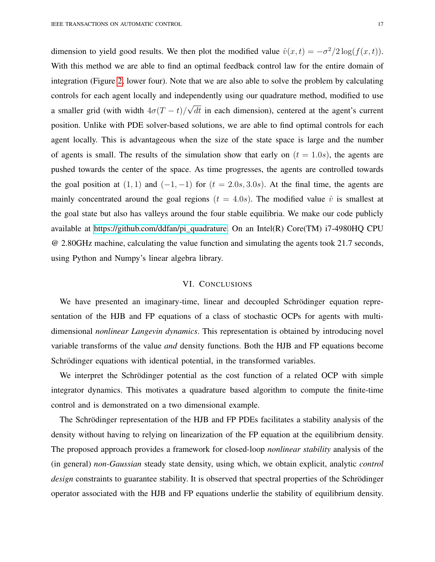dimension to yield good results. We then plot the modified value  $\hat{v}(x,t) = -\sigma^2/2 \log(f(x,t))$ . With this method we are able to find an optimal feedback control law for the entire domain of integration (Figure [2,](#page-17-0) lower four). Note that we are also able to solve the problem by calculating controls for each agent locally and independently using our quadrature method, modified to use a smaller grid (with width  $4\sigma(T-t)$ ) √  $dt$  in each dimension), centered at the agent's current position. Unlike with PDE solver-based solutions, we are able to find optimal controls for each agent locally. This is advantageous when the size of the state space is large and the number of agents is small. The results of the simulation show that early on  $(t = 1.0s)$ , the agents are pushed towards the center of the space. As time progresses, the agents are controlled towards the goal position at  $(1, 1)$  and  $(-1, -1)$  for  $(t = 2.0s, 3.0s)$ . At the final time, the agents are mainly concentrated around the goal regions ( $t = 4.0s$ ). The modified value  $\hat{v}$  is smallest at the goal state but also has valleys around the four stable equilibria. We make our code publicly available at [https://github.com/ddfan/pi](https://github.com/ddfan/pi_quadrature) quadrature. On an Intel(R) Core(TM) i7-4980HQ CPU @ 2.80GHz machine, calculating the value function and simulating the agents took 21.7 seconds, using Python and Numpy's linear algebra library.

#### VI. CONCLUSIONS

<span id="page-16-0"></span>We have presented an imaginary-time, linear and decoupled Schrödinger equation representation of the HJB and FP equations of a class of stochastic OCPs for agents with multidimensional *nonlinear Langevin dynamics*. This representation is obtained by introducing novel variable transforms of the value *and* density functions. Both the HJB and FP equations become Schrödinger equations with identical potential, in the transformed variables.

We interpret the Schrödinger potential as the cost function of a related OCP with simple integrator dynamics. This motivates a quadrature based algorithm to compute the finite-time control and is demonstrated on a two dimensional example.

The Schrödinger representation of the HJB and FP PDEs facilitates a stability analysis of the density without having to relying on linearization of the FP equation at the equilibrium density. The proposed approach provides a framework for closed-loop *nonlinear stability* analysis of the (in general) *non-Gaussian* steady state density, using which, we obtain explicit, analytic *control design* constraints to guarantee stability. It is observed that spectral properties of the Schrödinger operator associated with the HJB and FP equations underlie the stability of equilibrium density.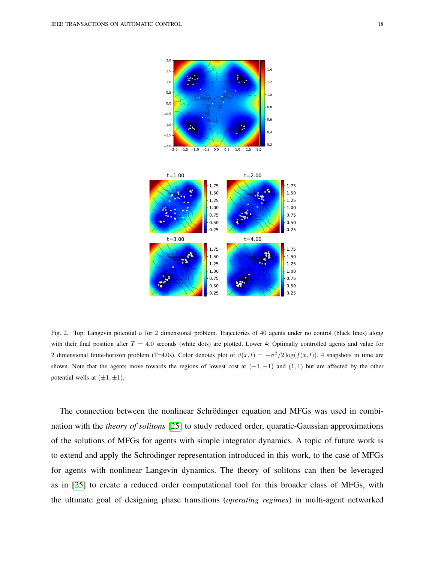

<span id="page-17-0"></span>

Fig. 2. Top: Langevin potential  $\nu$  for 2 dimensional problem. Trajectories of 40 agents under no control (black lines) along with their final position after  $T = 4.0$  seconds (white dots) are plotted. Lower 4: Optimally controlled agents and value for 2 dimensional finite-horizon problem (T=4.0s). Color denotes plot of  $\hat{v}(x,t) = -\sigma^2/2 \log(f(x,t))$ . 4 snapshots in time are shown. Note that the agents move towards the regions of lowest cost at  $(-1, -1)$  and  $(1, 1)$  but are affected by the other potential wells at  $(\pm 1, \pm 1)$ .

The connection between the nonlinear Schrödinger equation and MFGs was used in combination with the *theory of solitons* [\[25\]](#page-19-9) to study reduced order, quaratic-Gaussian approximations of the solutions of MFGs for agents with simple integrator dynamics. A topic of future work is to extend and apply the Schrödinger representation introduced in this work, to the case of MFGs for agents with nonlinear Langevin dynamics. The theory of solitons can then be leveraged as in [\[25\]](#page-19-9) to create a reduced order computational tool for this broader class of MFGs, with the ultimate goal of designing phase transitions (*operating regimes*) in multi-agent networked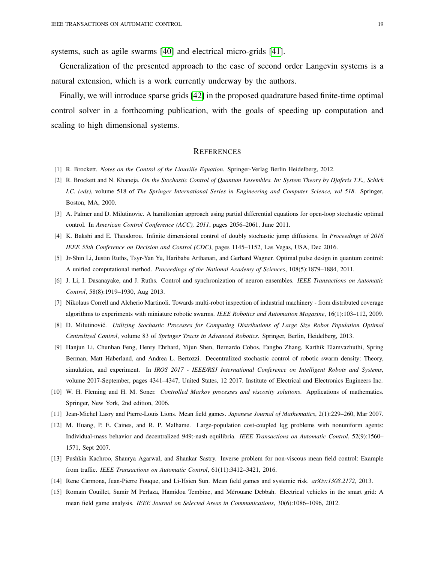systems, such as agile swarms [\[40\]](#page-20-0) and electrical micro-grids [\[41\]](#page-20-1).

Generalization of the presented approach to the case of second order Langevin systems is a natural extension, which is a work currently underway by the authors.

Finally, we will introduce sparse grids [\[42\]](#page-20-2) in the proposed quadrature based finite-time optimal control solver in a forthcoming publication, with the goals of speeding up computation and scaling to high dimensional systems.

## **REFERENCES**

- <span id="page-18-0"></span>[1] R. Brockett. *Notes on the Control of the Liouville Equation*. Springer-Verlag Berlin Heidelberg, 2012.
- <span id="page-18-1"></span>[2] R. Brockett and N. Khaneja. *On the Stochastic Control of Quantum Ensembles. In: System Theory by Djaferis T.E., Schick I.C. (eds)*, volume 518 of *The Springer International Series in Engineering and Computer Science, vol 518*. Springer, Boston, MA, 2000.
- <span id="page-18-2"></span>[3] A. Palmer and D. Milutinovic. A hamiltonian approach using partial differential equations for open-loop stochastic optimal control. In *American Control Conference (ACC), 2011*, pages 2056–2061, June 2011.
- <span id="page-18-3"></span>[4] K. Bakshi and E. Theodorou. Infinite dimensional control of doubly stochastic jump diffusions. In *Proceedings of 2016 IEEE 55th Conference on Decision and Control (CDC)*, pages 1145–1152, Las Vegas, USA, Dec 2016.
- <span id="page-18-4"></span>[5] Jr-Shin Li, Justin Ruths, Tsyr-Yan Yu, Haribabu Arthanari, and Gerhard Wagner. Optimal pulse design in quantum control: A unified computational method. *Proceedings of the National Academy of Sciences*, 108(5):1879–1884, 2011.
- <span id="page-18-5"></span>[6] J. Li, I. Dasanayake, and J. Ruths. Control and synchronization of neuron ensembles. *IEEE Transactions on Automatic Control*, 58(8):1919–1930, Aug 2013.
- <span id="page-18-6"></span>[7] Nikolaus Correll and Alcherio Martinoli. Towards multi-robot inspection of industrial machinery - from distributed coverage algorithms to experiments with miniature robotic swarms. *IEEE Robotics and Automation Magazine*, 16(1):103–112, 2009.
- <span id="page-18-7"></span>[8] D. Milutinovic.´ *Utilizing Stochastic Processes for Computing Distributions of Large Size Robot Population Optimal Centralized Control*, volume 83 of *Springer Tracts in Advanced Robotics*. Springer, Berlin, Heidelberg, 2013.
- <span id="page-18-8"></span>[9] Hanjun Li, Chunhan Feng, Henry Ehrhard, Yijun Shen, Bernardo Cobos, Fangbo Zhang, Karthik Elamvazhuthi, Spring Berman, Matt Haberland, and Andrea L. Bertozzi. Decentralized stochastic control of robotic swarm density: Theory, simulation, and experiment. In *IROS 2017 - IEEE/RSJ International Conference on Intelligent Robots and Systems*, volume 2017-September, pages 4341–4347, United States, 12 2017. Institute of Electrical and Electronics Engineers Inc.
- <span id="page-18-9"></span>[10] W. H. Fleming and H. M. Soner. *Controlled Markov processes and viscosity solutions*. Applications of mathematics. Springer, New York, 2nd edition, 2006.
- <span id="page-18-10"></span>[11] Jean-Michel Lasry and Pierre-Louis Lions. Mean field games. *Japanese Journal of Mathematics*, 2(1):229–260, Mar 2007.
- <span id="page-18-11"></span>[12] M. Huang, P. E. Caines, and R. P. Malhame. Large-population cost-coupled lqg problems with nonuniform agents: Individual-mass behavior and decentralized 949;-nash equilibria. *IEEE Transactions on Automatic Control*, 52(9):1560– 1571, Sept 2007.
- <span id="page-18-12"></span>[13] Pushkin Kachroo, Shaurya Agarwal, and Shankar Sastry. Inverse problem for non-viscous mean field control: Example from traffic. *IEEE Transactions on Automatic Control*, 61(11):3412–3421, 2016.
- <span id="page-18-13"></span>[14] Rene Carmona, Jean-Pierre Fouque, and Li-Hsien Sun. Mean field games and systemic risk. *arXiv:1308.2172*, 2013.
- <span id="page-18-14"></span>[15] Romain Couillet, Samir M Perlaza, Hamidou Tembine, and Merouane Debbah. Electrical vehicles in the smart grid: A ´ mean field game analysis. *IEEE Journal on Selected Areas in Communications*, 30(6):1086–1096, 2012.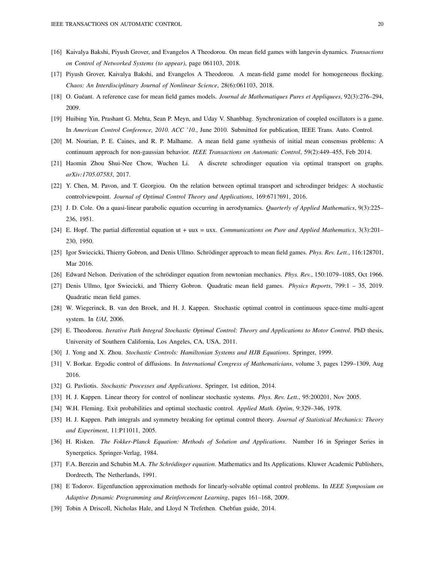- <span id="page-19-0"></span>[16] Kaivalya Bakshi, Piyush Grover, and Evangelos A Theodorou. On mean field games with langevin dynamics. *Transactions on Control of Networked Systems (to appear)*, page 061103, 2018.
- <span id="page-19-1"></span>[17] Piyush Grover, Kaivalya Bakshi, and Evangelos A Theodorou. A mean-field game model for homogeneous flocking. *Chaos: An Interdisciplinary Journal of Nonlinear Science*, 28(6):061103, 2018.
- <span id="page-19-2"></span>[18] O. Guéant. A reference case for mean field games models. *Journal de Mathematiques Pures et Appliquees*, 92(3):276–294, 2009.
- <span id="page-19-3"></span>[19] Huibing Yin, Prashant G. Mehta, Sean P. Meyn, and Uday V. Shanbhag. Synchronization of coupled oscillators is a game. In *American Control Conference, 2010. ACC '10.*, June 2010. Submitted for publication, IEEE Trans. Auto. Control.
- <span id="page-19-4"></span>[20] M. Nourian, P. E. Caines, and R. P. Malhame. A mean field game synthesis of initial mean consensus problems: A continuum approach for non-gaussian behavior. *IEEE Transactions on Automatic Control*, 59(2):449–455, Feb 2014.
- <span id="page-19-5"></span>[21] Haomin Zhou Shui-Nee Chow, Wuchen Li. A discrete schrodinger equation via optimal transport on graphs. *arXiv:1705.07583*, 2017.
- <span id="page-19-6"></span>[22] Y. Chen, M. Pavon, and T. Georgiou. On the relation between optimal transport and schrodinger bridges: A stochastic controlviewpoint. *Journal of Optimal Control Theory and Applications*, 169:671?691, 2016.
- <span id="page-19-7"></span>[23] J. D. Cole. On a quasi-linear parabolic equation occurring in aerodynamics. *Quarterly of Applied Mathematics*, 9(3):225– 236, 1951.
- <span id="page-19-8"></span>[24] E. Hopf. The partial differential equation ut + uux = uxx. *Communications on Pure and Applied Mathematics*, 3(3):201– 230, 1950.
- <span id="page-19-9"></span>[25] Igor Swiecicki, Thierry Gobron, and Denis Ullmo. Schrödinger approach to mean field games. Phys. Rev. Lett., 116:128701, Mar 2016.
- <span id="page-19-10"></span>[26] Edward Nelson. Derivation of the schrödinger equation from newtonian mechanics. Phys. Rev., 150:1079–1085, Oct 1966.
- <span id="page-19-11"></span>[27] Denis Ullmo, Igor Swiecicki, and Thierry Gobron. Quadratic mean field games. *Physics Reports*, 799:1 – 35, 2019. Quadratic mean field games.
- <span id="page-19-12"></span>[28] W. Wiegerinck, B. van den Broek, and H. J. Kappen. Stochastic optimal control in continuous space-time multi-agent system. In *UAI*, 2006.
- <span id="page-19-13"></span>[29] E. Theodorou. *Iterative Path Integral Stochastic Optimal Control: Theory and Applications to Motor Control*. PhD thesis, University of Southern California, Los Angeles, CA, USA, 2011.
- <span id="page-19-14"></span>[30] J. Yong and X. Zhou. *Stochastic Controls: Hamiltonian Systems and HJB Equations*. Springer, 1999.
- <span id="page-19-15"></span>[31] V. Borkar. Ergodic control of diffusions. In *International Congress of Mathematicians*, volume 3, pages 1299–1309, Aug 2016.
- <span id="page-19-16"></span>[32] G. Pavliotis. *Stochastic Processes and Applications*. Springer, 1st edition, 2014.
- <span id="page-19-17"></span>[33] H. J. Kappen. Linear theory for control of nonlinear stochastic systems. *Phys. Rev. Lett.*, 95:200201, Nov 2005.
- <span id="page-19-18"></span>[34] W.H. Fleming. Exit probabilities and optimal stochastic control. *Applied Math. Optim*, 9:329–346, 1978.
- <span id="page-19-19"></span>[35] H. J. Kappen. Path integrals and symmetry breaking for optimal control theory. *Journal of Statistical Mechanics: Theory and Experiment*, 11:P11011, 2005.
- <span id="page-19-20"></span>[36] H. Risken. *The Fokker-Planck Equation: Methods of Solution and Applications*. Number 16 in Springer Series in Synergetics. Springer-Verlag, 1984.
- <span id="page-19-21"></span>[37] F.A. Berezin and Schubin M.A. *The Schródinger equation*. Mathematics and Its Applications. Kluwer Academic Publishers, Dordrecth, The Netherlands, 1991.
- <span id="page-19-22"></span>[38] E Todorov. Eigenfunction approximation methods for linearly-solvable optimal control problems. In *IEEE Symposium on Adaptive Dynamic Programming and Reinforcement Learning*, pages 161–168, 2009.
- <span id="page-19-23"></span>[39] Tobin A Driscoll, Nicholas Hale, and Lloyd N Trefethen. Chebfun guide, 2014.